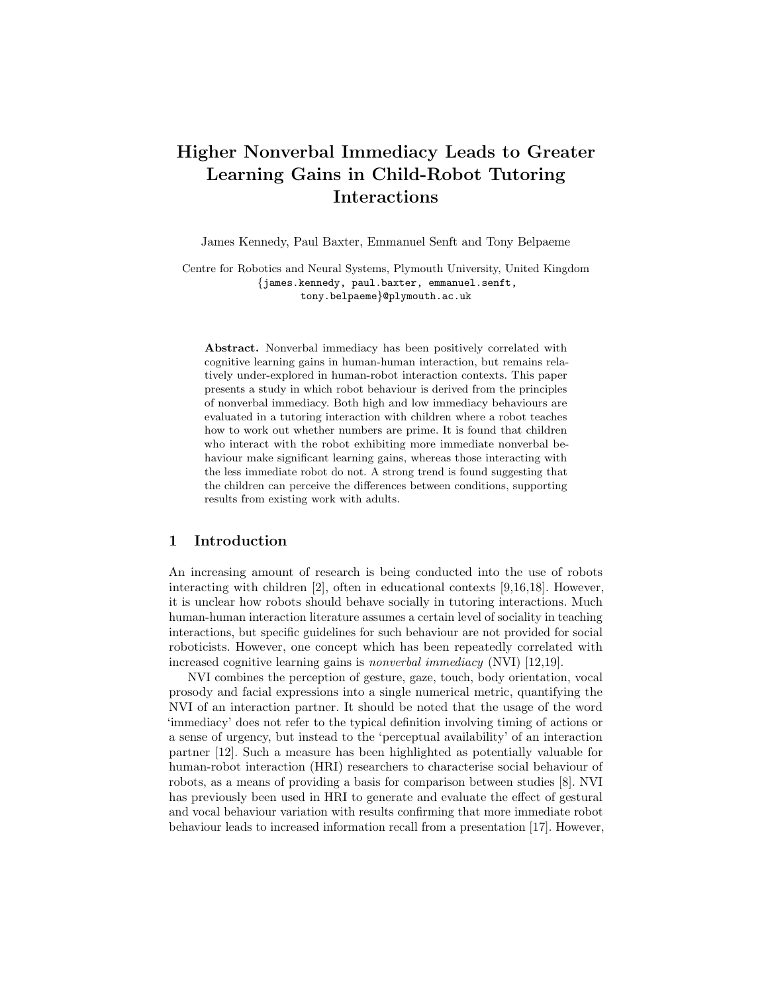# Higher Nonverbal Immediacy Leads to Greater Learning Gains in Child-Robot Tutoring Interactions

James Kennedy, Paul Baxter, Emmanuel Senft and Tony Belpaeme

Centre for Robotics and Neural Systems, Plymouth University, United Kingdom {james.kennedy, paul.baxter, emmanuel.senft, tony.belpaeme}@plymouth.ac.uk

Abstract. Nonverbal immediacy has been positively correlated with cognitive learning gains in human-human interaction, but remains relatively under-explored in human-robot interaction contexts. This paper presents a study in which robot behaviour is derived from the principles of nonverbal immediacy. Both high and low immediacy behaviours are evaluated in a tutoring interaction with children where a robot teaches how to work out whether numbers are prime. It is found that children who interact with the robot exhibiting more immediate nonverbal behaviour make significant learning gains, whereas those interacting with the less immediate robot do not. A strong trend is found suggesting that the children can perceive the differences between conditions, supporting results from existing work with adults.

## <span id="page-0-0"></span>1 Introduction

An increasing amount of research is being conducted into the use of robots interacting with children [\[2\]](#page-9-0), often in educational contexts [\[9](#page-9-1)[,16](#page-9-2)[,18\]](#page-9-3). However, it is unclear how robots should behave socially in tutoring interactions. Much human-human interaction literature assumes a certain level of sociality in teaching interactions, but specific guidelines for such behaviour are not provided for social roboticists. However, one concept which has been repeatedly correlated with increased cognitive learning gains is nonverbal immediacy (NVI) [\[12](#page-9-4)[,19\]](#page-9-5).

NVI combines the perception of gesture, gaze, touch, body orientation, vocal prosody and facial expressions into a single numerical metric, quantifying the NVI of an interaction partner. It should be noted that the usage of the word 'immediacy' does not refer to the typical definition involving timing of actions or a sense of urgency, but instead to the 'perceptual availability' of an interaction partner [\[12\]](#page-9-4). Such a measure has been highlighted as potentially valuable for human-robot interaction (HRI) researchers to characterise social behaviour of robots, as a means of providing a basis for comparison between studies [\[8\]](#page-9-6). NVI has previously been used in HRI to generate and evaluate the effect of gestural and vocal behaviour variation with results confirming that more immediate robot behaviour leads to increased information recall from a presentation [\[17\]](#page-9-7). However,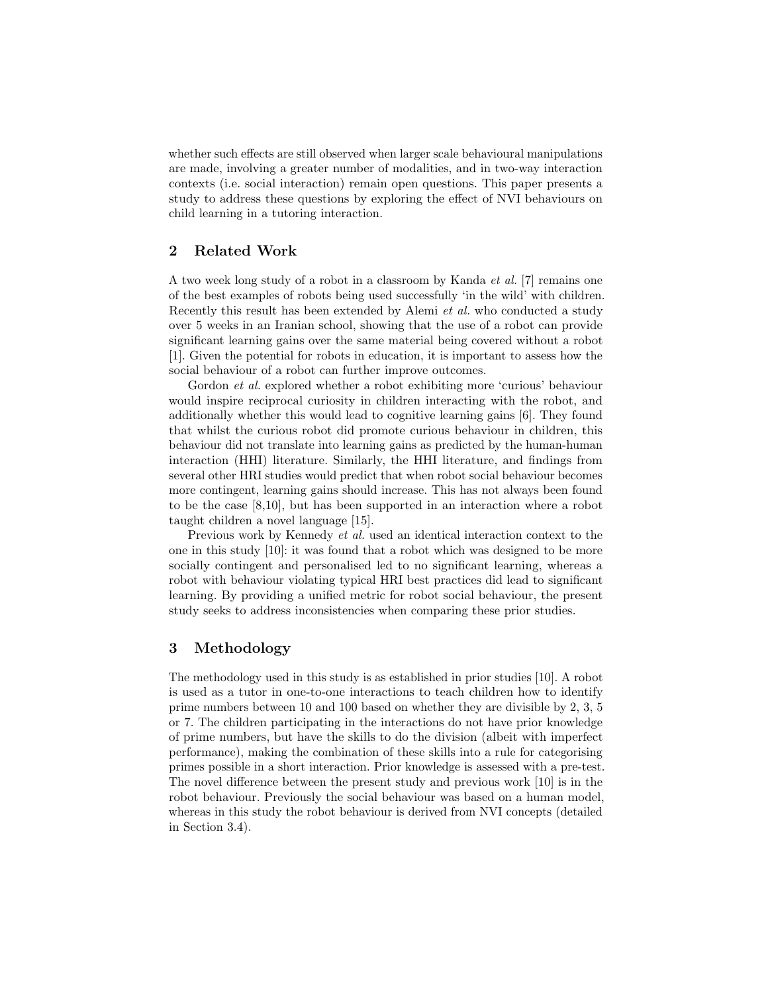whether such effects are still observed when larger scale behavioural manipulations are made, involving a greater number of modalities, and in two-way interaction contexts (i.e. social interaction) remain open questions. This paper presents a study to address these questions by exploring the effect of NVI behaviours on child learning in a tutoring interaction.

# 2 Related Work

A two week long study of a robot in a classroom by Kanda et al. [\[7\]](#page-9-8) remains one of the best examples of robots being used successfully 'in the wild' with children. Recently this result has been extended by Alemi et al. who conducted a study over 5 weeks in an Iranian school, showing that the use of a robot can provide significant learning gains over the same material being covered without a robot [\[1\]](#page-8-0). Given the potential for robots in education, it is important to assess how the social behaviour of a robot can further improve outcomes.

Gordon et al. explored whether a robot exhibiting more 'curious' behaviour would inspire reciprocal curiosity in children interacting with the robot, and additionally whether this would lead to cognitive learning gains [\[6\]](#page-9-9). They found that whilst the curious robot did promote curious behaviour in children, this behaviour did not translate into learning gains as predicted by the human-human interaction (HHI) literature. Similarly, the HHI literature, and findings from several other HRI studies would predict that when robot social behaviour becomes more contingent, learning gains should increase. This has not always been found to be the case [\[8,](#page-9-6)[10\]](#page-9-10), but has been supported in an interaction where a robot taught children a novel language [\[15\]](#page-9-11).

Previous work by Kennedy et al. used an identical interaction context to the one in this study [\[10\]](#page-9-10): it was found that a robot which was designed to be more socially contingent and personalised led to no significant learning, whereas a robot with behaviour violating typical HRI best practices did lead to significant learning. By providing a unified metric for robot social behaviour, the present study seeks to address inconsistencies when comparing these prior studies.

# 3 Methodology

The methodology used in this study is as established in prior studies [\[10\]](#page-9-10). A robot is used as a tutor in one-to-one interactions to teach children how to identify prime numbers between 10 and 100 based on whether they are divisible by 2, 3, 5 or 7. The children participating in the interactions do not have prior knowledge of prime numbers, but have the skills to do the division (albeit with imperfect performance), making the combination of these skills into a rule for categorising primes possible in a short interaction. Prior knowledge is assessed with a pre-test. The novel difference between the present study and previous work [\[10\]](#page-9-10) is in the robot behaviour. Previously the social behaviour was based on a human model, whereas in this study the robot behaviour is derived from NVI concepts (detailed in Section [3.4\)](#page-3-0).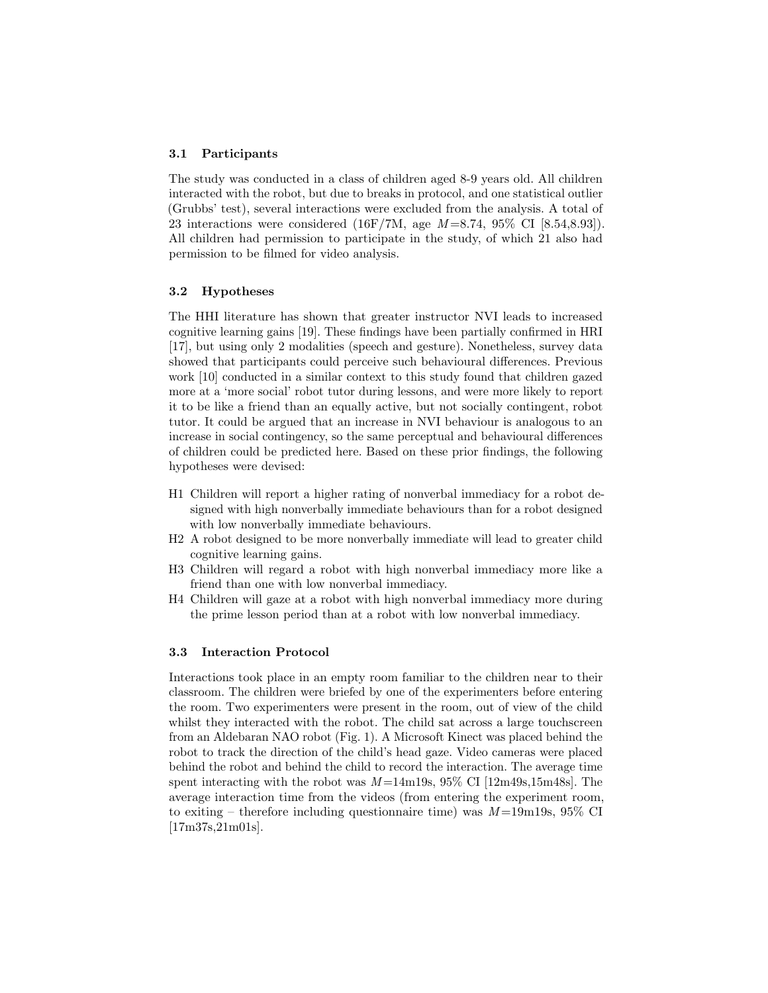#### 3.1 Participants

The study was conducted in a class of children aged 8-9 years old. All children interacted with the robot, but due to breaks in protocol, and one statistical outlier (Grubbs' test), several interactions were excluded from the analysis. A total of 23 interactions were considered  $(16F/7M, \text{ age } M = 8.74, 95\% \text{ CI } [8.54, 8.93]).$ All children had permission to participate in the study, of which 21 also had permission to be filmed for video analysis.

## <span id="page-2-0"></span>3.2 Hypotheses

The HHI literature has shown that greater instructor NVI leads to increased cognitive learning gains [\[19\]](#page-9-5). These findings have been partially confirmed in HRI [\[17\]](#page-9-7), but using only 2 modalities (speech and gesture). Nonetheless, survey data showed that participants could perceive such behavioural differences. Previous work [\[10\]](#page-9-10) conducted in a similar context to this study found that children gazed more at a 'more social' robot tutor during lessons, and were more likely to report it to be like a friend than an equally active, but not socially contingent, robot tutor. It could be argued that an increase in NVI behaviour is analogous to an increase in social contingency, so the same perceptual and behavioural differences of children could be predicted here. Based on these prior findings, the following hypotheses were devised:

- H1 Children will report a higher rating of nonverbal immediacy for a robot designed with high nonverbally immediate behaviours than for a robot designed with low nonverbally immediate behaviours.
- H2 A robot designed to be more nonverbally immediate will lead to greater child cognitive learning gains.
- H3 Children will regard a robot with high nonverbal immediacy more like a friend than one with low nonverbal immediacy.
- H4 Children will gaze at a robot with high nonverbal immediacy more during the prime lesson period than at a robot with low nonverbal immediacy.

## 3.3 Interaction Protocol

Interactions took place in an empty room familiar to the children near to their classroom. The children were briefed by one of the experimenters before entering the room. Two experimenters were present in the room, out of view of the child whilst they interacted with the robot. The child sat across a large touchscreen from an Aldebaran NAO robot (Fig. [1\)](#page-3-1). A Microsoft Kinect was placed behind the robot to track the direction of the child's head gaze. Video cameras were placed behind the robot and behind the child to record the interaction. The average time spent interacting with the robot was  $M = 14 \text{m}19$ s, 95% CI [ $12 \text{m}49$ s, 15 $\text{m}48$ s]. The average interaction time from the videos (from entering the experiment room, to exiting – therefore including questionnaire time) was  $M = 19 \text{m} 19 \text{s}$ ,  $95\%$  CI [17m37s,21m01s].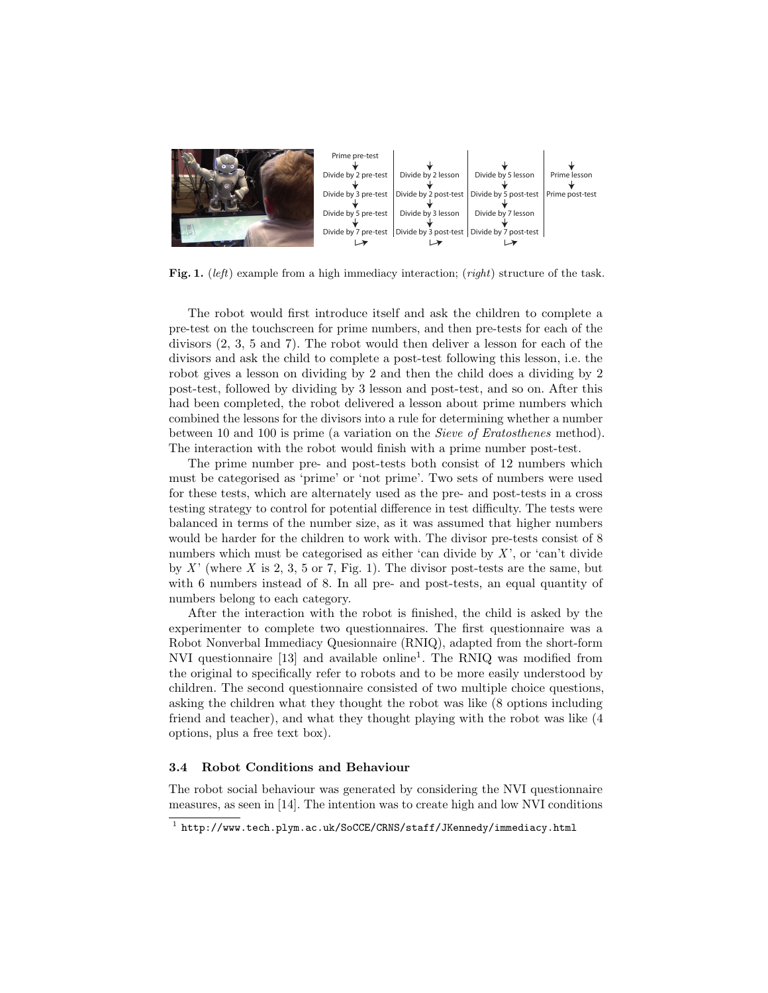

<span id="page-3-1"></span>Fig. 1. (left) example from a high immediacy interaction; (right) structure of the task.

The robot would first introduce itself and ask the children to complete a pre-test on the touchscreen for prime numbers, and then pre-tests for each of the divisors (2, 3, 5 and 7). The robot would then deliver a lesson for each of the divisors and ask the child to complete a post-test following this lesson, i.e. the robot gives a lesson on dividing by 2 and then the child does a dividing by 2 post-test, followed by dividing by 3 lesson and post-test, and so on. After this had been completed, the robot delivered a lesson about prime numbers which combined the lessons for the divisors into a rule for determining whether a number between 10 and 100 is prime (a variation on the Sieve of Eratosthenes method). The interaction with the robot would finish with a prime number post-test.

The prime number pre- and post-tests both consist of 12 numbers which must be categorised as 'prime' or 'not prime'. Two sets of numbers were used for these tests, which are alternately used as the pre- and post-tests in a cross testing strategy to control for potential difference in test difficulty. The tests were balanced in terms of the number size, as it was assumed that higher numbers would be harder for the children to work with. The divisor pre-tests consist of 8 numbers which must be categorised as either 'can divide by  $X'$ , or 'can't divide by  $X'$  (where X is 2, 3, 5 or 7, Fig. [1\)](#page-3-1). The divisor post-tests are the same, but with 6 numbers instead of 8. In all pre- and post-tests, an equal quantity of numbers belong to each category.

After the interaction with the robot is finished, the child is asked by the experimenter to complete two questionnaires. The first questionnaire was a Robot Nonverbal Immediacy Quesionnaire (RNIQ), adapted from the short-form NVI questionnaire [\[13\]](#page-9-12) and available online<sup>[1](#page-3-2)</sup>. The RNIQ was modified from the original to specifically refer to robots and to be more easily understood by children. The second questionnaire consisted of two multiple choice questions, asking the children what they thought the robot was like (8 options including friend and teacher), and what they thought playing with the robot was like (4 options, plus a free text box).

#### <span id="page-3-0"></span>3.4 Robot Conditions and Behaviour

The robot social behaviour was generated by considering the NVI questionnaire measures, as seen in [\[14\]](#page-9-13). The intention was to create high and low NVI conditions

<span id="page-3-2"></span> $^{\rm 1}$  <http://www.tech.plym.ac.uk/SoCCE/CRNS/staff/JKennedy/immediacy.html>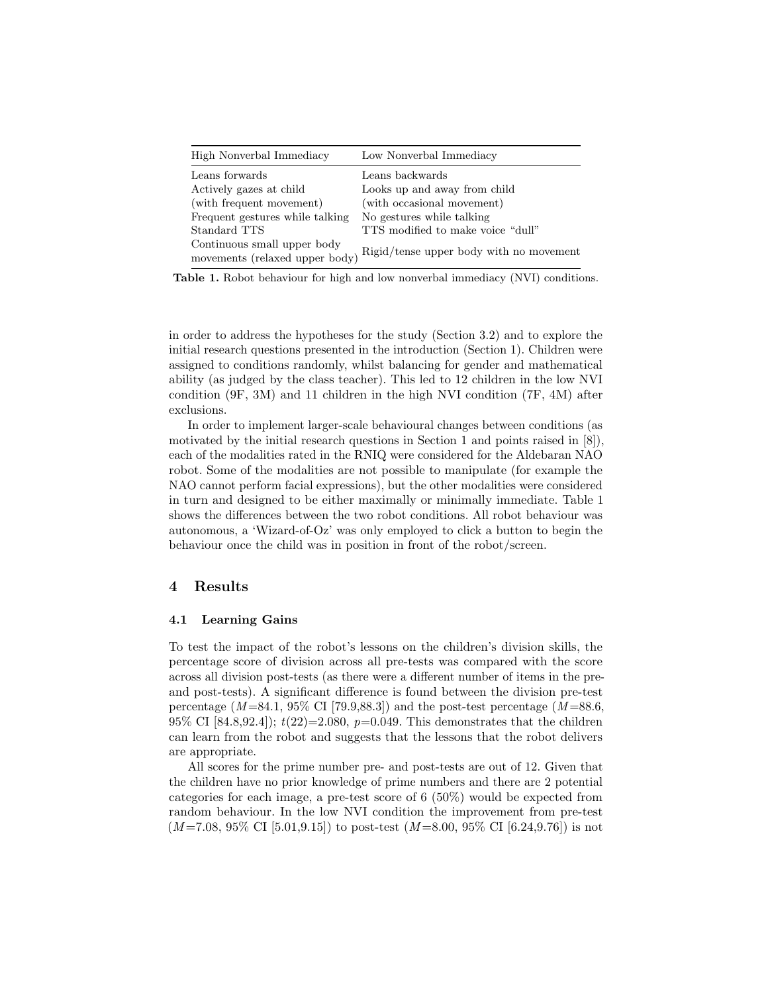| High Nonverbal Immediacy                                      | Low Nonverbal Immediacy                 |
|---------------------------------------------------------------|-----------------------------------------|
| Leans forwards                                                | Leans backwards                         |
| Actively gazes at child                                       | Looks up and away from child            |
| (with frequent movement)                                      | (with occasional movement)              |
| Frequent gestures while talking                               | No gestures while talking               |
| Standard TTS                                                  | TTS modified to make voice "dull"       |
| Continuous small upper body<br>movements (relaxed upper body) | Rigid/tense upper body with no movement |

<span id="page-4-0"></span>Table 1. Robot behaviour for high and low nonverbal immediacy (NVI) conditions.

in order to address the hypotheses for the study (Section [3.2\)](#page-2-0) and to explore the initial research questions presented in the introduction (Section [1\)](#page-0-0). Children were assigned to conditions randomly, whilst balancing for gender and mathematical ability (as judged by the class teacher). This led to 12 children in the low NVI condition (9F, 3M) and 11 children in the high NVI condition (7F, 4M) after exclusions.

In order to implement larger-scale behavioural changes between conditions (as motivated by the initial research questions in Section [1](#page-0-0) and points raised in [\[8\]](#page-9-6)), each of the modalities rated in the RNIQ were considered for the Aldebaran NAO robot. Some of the modalities are not possible to manipulate (for example the NAO cannot perform facial expressions), but the other modalities were considered in turn and designed to be either maximally or minimally immediate. Table [1](#page-4-0) shows the differences between the two robot conditions. All robot behaviour was autonomous, a 'Wizard-of-Oz' was only employed to click a button to begin the behaviour once the child was in position in front of the robot/screen.

## 4 Results

### 4.1 Learning Gains

To test the impact of the robot's lessons on the children's division skills, the percentage score of division across all pre-tests was compared with the score across all division post-tests (as there were a different number of items in the preand post-tests). A significant difference is found between the division pre-test percentage  $(M=84.1, 95\% \text{ CI}$  [79.9,88.3]) and the post-test percentage  $(M=88.6,$ 95% CI [84.8,92.4]);  $t(22)=2.080, p=0.049$ . This demonstrates that the children can learn from the robot and suggests that the lessons that the robot delivers are appropriate.

All scores for the prime number pre- and post-tests are out of 12. Given that the children have no prior knowledge of prime numbers and there are 2 potential categories for each image, a pre-test score of 6 (50%) would be expected from random behaviour. In the low NVI condition the improvement from pre-test  $(M=7.08, 95\% \text{ CI } [5.01, 9.15])$  to post-test  $(M=8.00, 95\% \text{ CI } [6.24, 9.76])$  is not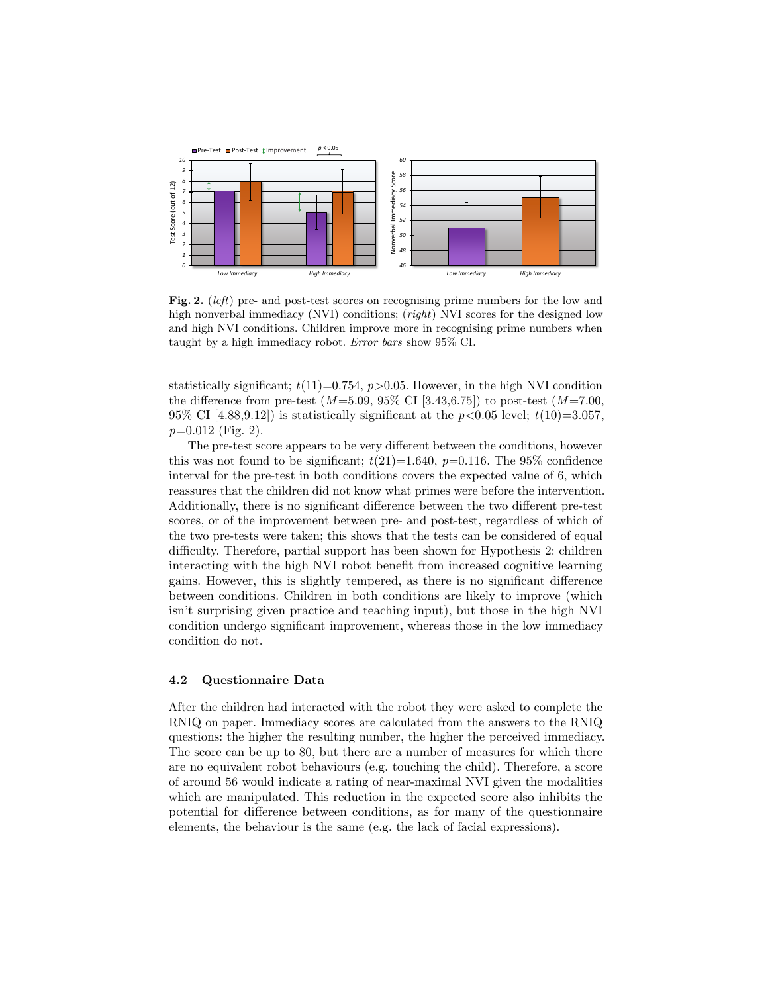

<span id="page-5-0"></span>Fig. 2. (left) pre- and post-test scores on recognising prime numbers for the low and high nonverbal immediacy (NVI) conditions;  $(\textit{right})$  NVI scores for the designed low and high NVI conditions. Children improve more in recognising prime numbers when taught by a high immediacy robot. Error bars show 95% CI.

statistically significant;  $t(11)=0.754$ ,  $p>0.05$ . However, in the high NVI condition the difference from pre-test  $(M=5.09, 95\% \text{ CI } [3.43.6.75])$  to post-test  $(M=7.00, 9.5\%)$ 95% CI  $[4.88, 9.12]$  is statistically significant at the p $\lt$  0.05 level; t(10)=3.057,  $p=0.012$  (Fig. [2\)](#page-5-0).

The pre-test score appears to be very different between the conditions, however this was not found to be significant;  $t(21)=1.640$ ,  $p=0.116$ . The 95% confidence interval for the pre-test in both conditions covers the expected value of 6, which reassures that the children did not know what primes were before the intervention. Additionally, there is no significant difference between the two different pre-test scores, or of the improvement between pre- and post-test, regardless of which of the two pre-tests were taken; this shows that the tests can be considered of equal difficulty. Therefore, partial support has been shown for Hypothesis 2: children interacting with the high NVI robot benefit from increased cognitive learning gains. However, this is slightly tempered, as there is no significant difference between conditions. Children in both conditions are likely to improve (which isn't surprising given practice and teaching input), but those in the high NVI condition undergo significant improvement, whereas those in the low immediacy condition do not.

### 4.2 Questionnaire Data

After the children had interacted with the robot they were asked to complete the RNIQ on paper. Immediacy scores are calculated from the answers to the RNIQ questions: the higher the resulting number, the higher the perceived immediacy. The score can be up to 80, but there are a number of measures for which there are no equivalent robot behaviours (e.g. touching the child). Therefore, a score of around 56 would indicate a rating of near-maximal NVI given the modalities which are manipulated. This reduction in the expected score also inhibits the potential for difference between conditions, as for many of the questionnaire elements, the behaviour is the same (e.g. the lack of facial expressions).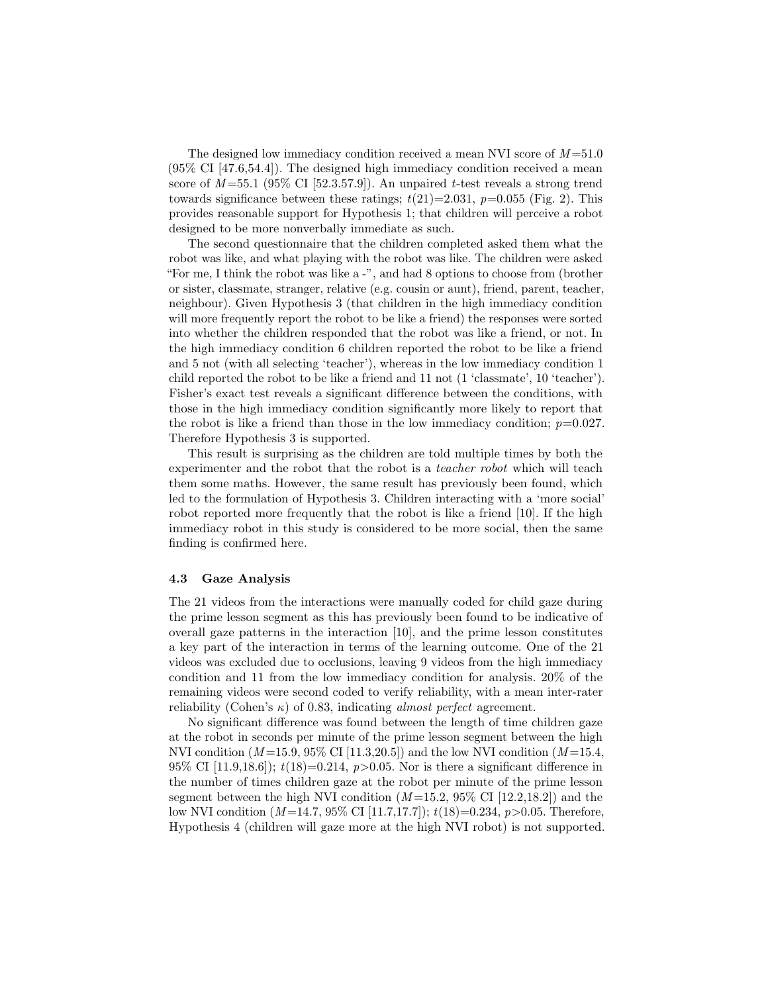The designed low immediacy condition received a mean NVI score of  $M = 51.0$  $(95\% \text{ CI} \,[47.6, 54.4])$ . The designed high immediacy condition received a mean score of  $M = 55.1$  (95% CI [52.3.57.9]). An unpaired t-test reveals a strong trend towards significance between these ratings;  $t(21)=2.031$ ,  $p=0.055$  (Fig. [2\)](#page-5-0). This provides reasonable support for Hypothesis 1; that children will perceive a robot designed to be more nonverbally immediate as such.

The second questionnaire that the children completed asked them what the robot was like, and what playing with the robot was like. The children were asked "For me, I think the robot was like a -", and had 8 options to choose from (brother or sister, classmate, stranger, relative (e.g. cousin or aunt), friend, parent, teacher, neighbour). Given Hypothesis 3 (that children in the high immediacy condition will more frequently report the robot to be like a friend) the responses were sorted into whether the children responded that the robot was like a friend, or not. In the high immediacy condition 6 children reported the robot to be like a friend and 5 not (with all selecting 'teacher'), whereas in the low immediacy condition 1 child reported the robot to be like a friend and 11 not (1 'classmate', 10 'teacher'). Fisher's exact test reveals a significant difference between the conditions, with those in the high immediacy condition significantly more likely to report that the robot is like a friend than those in the low immediacy condition;  $p=0.027$ . Therefore Hypothesis 3 is supported.

This result is surprising as the children are told multiple times by both the experimenter and the robot that the robot is a teacher robot which will teach them some maths. However, the same result has previously been found, which led to the formulation of Hypothesis 3. Children interacting with a 'more social' robot reported more frequently that the robot is like a friend [\[10\]](#page-9-10). If the high immediacy robot in this study is considered to be more social, then the same finding is confirmed here.

#### 4.3 Gaze Analysis

The 21 videos from the interactions were manually coded for child gaze during the prime lesson segment as this has previously been found to be indicative of overall gaze patterns in the interaction [\[10\]](#page-9-10), and the prime lesson constitutes a key part of the interaction in terms of the learning outcome. One of the 21 videos was excluded due to occlusions, leaving 9 videos from the high immediacy condition and 11 from the low immediacy condition for analysis. 20% of the remaining videos were second coded to verify reliability, with a mean inter-rater reliability (Cohen's  $\kappa$ ) of 0.83, indicating *almost perfect* agreement.

No significant difference was found between the length of time children gaze at the robot in seconds per minute of the prime lesson segment between the high NVI condition ( $M = 15.9, 95\%$  CI [11.3,20.5]) and the low NVI condition ( $M = 15.4$ , 95% CI  $[11.9, 18.6]$ ;  $t(18)=0.214$ ,  $p>0.05$ . Nor is there a significant difference in the number of times children gaze at the robot per minute of the prime lesson segment between the high NVI condition  $(M=15.2, 95\% \text{ CI}$  [12.2,18.2]) and the low NVI condition  $(M=14.7, 95\% \text{ CI} [11.7, 17.7])$ ;  $t(18)=0.234, p>0.05$ . Therefore, Hypothesis 4 (children will gaze more at the high NVI robot) is not supported.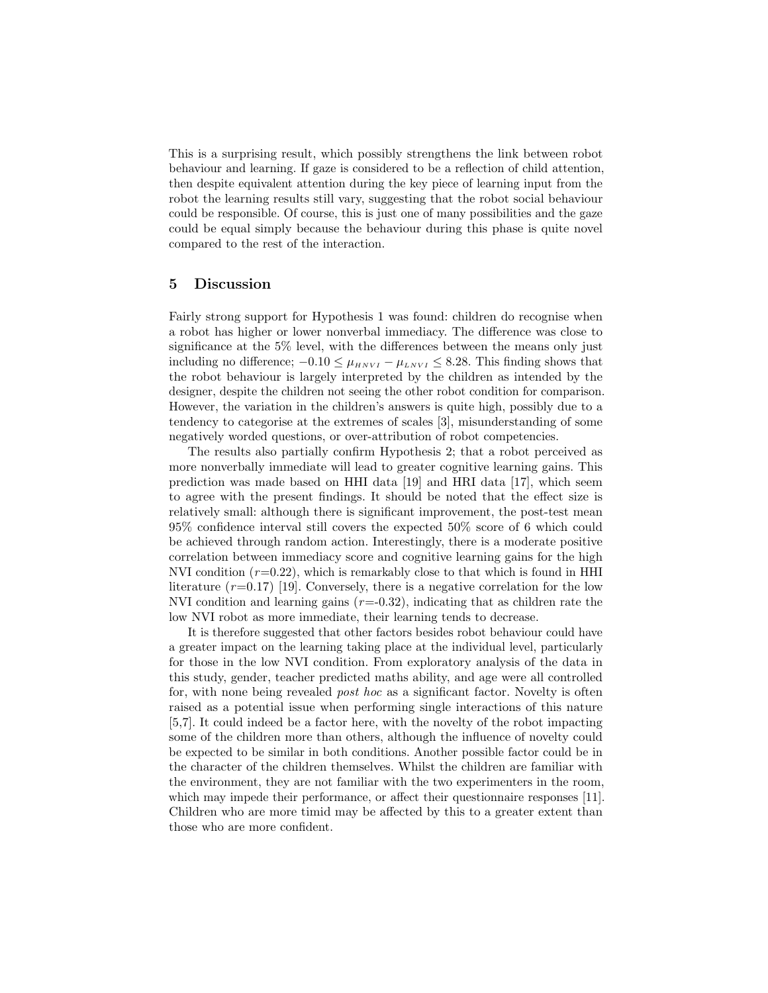This is a surprising result, which possibly strengthens the link between robot behaviour and learning. If gaze is considered to be a reflection of child attention, then despite equivalent attention during the key piece of learning input from the robot the learning results still vary, suggesting that the robot social behaviour could be responsible. Of course, this is just one of many possibilities and the gaze could be equal simply because the behaviour during this phase is quite novel compared to the rest of the interaction.

## 5 Discussion

Fairly strong support for Hypothesis 1 was found: children do recognise when a robot has higher or lower nonverbal immediacy. The difference was close to significance at the 5% level, with the differences between the means only just including no difference;  $-0.10 \leq \mu_{HNVI} - \mu_{LNVI} \leq 8.28$ . This finding shows that the robot behaviour is largely interpreted by the children as intended by the designer, despite the children not seeing the other robot condition for comparison. However, the variation in the children's answers is quite high, possibly due to a tendency to categorise at the extremes of scales [\[3\]](#page-9-14), misunderstanding of some negatively worded questions, or over-attribution of robot competencies.

The results also partially confirm Hypothesis 2; that a robot perceived as more nonverbally immediate will lead to greater cognitive learning gains. This prediction was made based on HHI data [\[19\]](#page-9-5) and HRI data [\[17\]](#page-9-7), which seem to agree with the present findings. It should be noted that the effect size is relatively small: although there is significant improvement, the post-test mean 95% confidence interval still covers the expected 50% score of 6 which could be achieved through random action. Interestingly, there is a moderate positive correlation between immediacy score and cognitive learning gains for the high NVI condition  $(r=0.22)$ , which is remarkably close to that which is found in HHI literature  $(r=0.17)$  [\[19\]](#page-9-5). Conversely, there is a negative correlation for the low NVI condition and learning gains  $(r=-0.32)$ , indicating that as children rate the low NVI robot as more immediate, their learning tends to decrease.

It is therefore suggested that other factors besides robot behaviour could have a greater impact on the learning taking place at the individual level, particularly for those in the low NVI condition. From exploratory analysis of the data in this study, gender, teacher predicted maths ability, and age were all controlled for, with none being revealed post hoc as a significant factor. Novelty is often raised as a potential issue when performing single interactions of this nature [\[5,](#page-9-15)[7\]](#page-9-8). It could indeed be a factor here, with the novelty of the robot impacting some of the children more than others, although the influence of novelty could be expected to be similar in both conditions. Another possible factor could be in the character of the children themselves. Whilst the children are familiar with the environment, they are not familiar with the two experimenters in the room, which may impede their performance, or affect their questionnaire responses [\[11\]](#page-9-16). Children who are more timid may be affected by this to a greater extent than those who are more confident.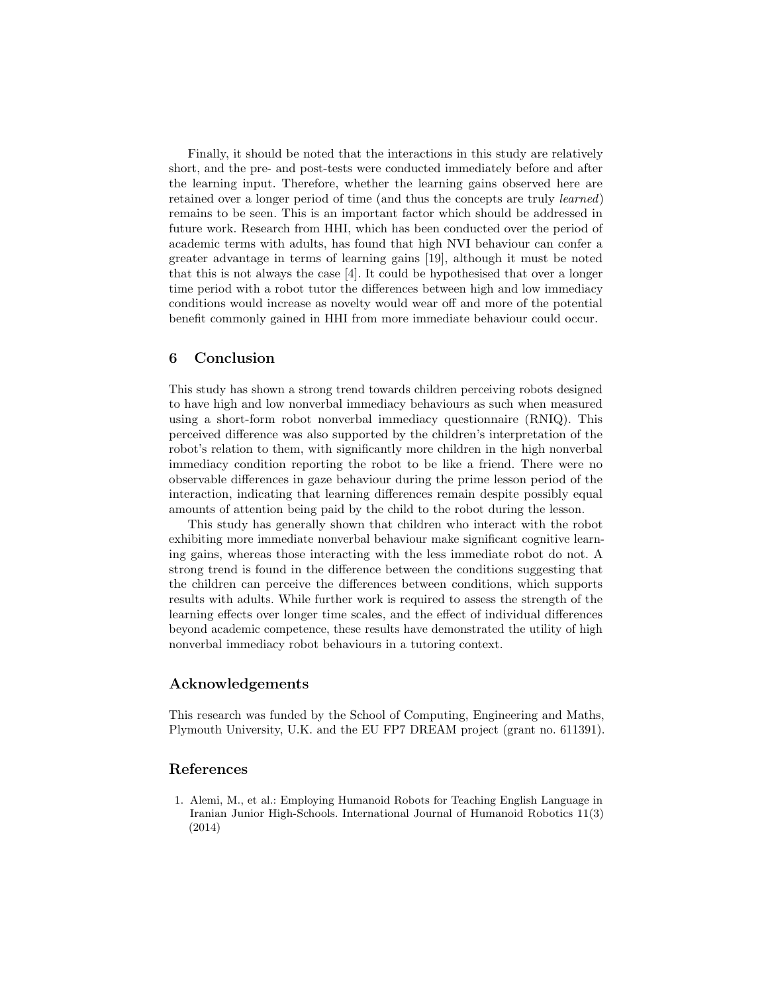Finally, it should be noted that the interactions in this study are relatively short, and the pre- and post-tests were conducted immediately before and after the learning input. Therefore, whether the learning gains observed here are retained over a longer period of time (and thus the concepts are truly learned) remains to be seen. This is an important factor which should be addressed in future work. Research from HHI, which has been conducted over the period of academic terms with adults, has found that high NVI behaviour can confer a greater advantage in terms of learning gains [\[19\]](#page-9-5), although it must be noted that this is not always the case [\[4\]](#page-9-17). It could be hypothesised that over a longer time period with a robot tutor the differences between high and low immediacy conditions would increase as novelty would wear off and more of the potential benefit commonly gained in HHI from more immediate behaviour could occur.

# 6 Conclusion

This study has shown a strong trend towards children perceiving robots designed to have high and low nonverbal immediacy behaviours as such when measured using a short-form robot nonverbal immediacy questionnaire (RNIQ). This perceived difference was also supported by the children's interpretation of the robot's relation to them, with significantly more children in the high nonverbal immediacy condition reporting the robot to be like a friend. There were no observable differences in gaze behaviour during the prime lesson period of the interaction, indicating that learning differences remain despite possibly equal amounts of attention being paid by the child to the robot during the lesson.

This study has generally shown that children who interact with the robot exhibiting more immediate nonverbal behaviour make significant cognitive learning gains, whereas those interacting with the less immediate robot do not. A strong trend is found in the difference between the conditions suggesting that the children can perceive the differences between conditions, which supports results with adults. While further work is required to assess the strength of the learning effects over longer time scales, and the effect of individual differences beyond academic competence, these results have demonstrated the utility of high nonverbal immediacy robot behaviours in a tutoring context.

## Acknowledgements

This research was funded by the School of Computing, Engineering and Maths, Plymouth University, U.K. and the EU FP7 DREAM project (grant no. 611391).

## References

<span id="page-8-0"></span>1. Alemi, M., et al.: Employing Humanoid Robots for Teaching English Language in Iranian Junior High-Schools. International Journal of Humanoid Robotics 11(3) (2014)